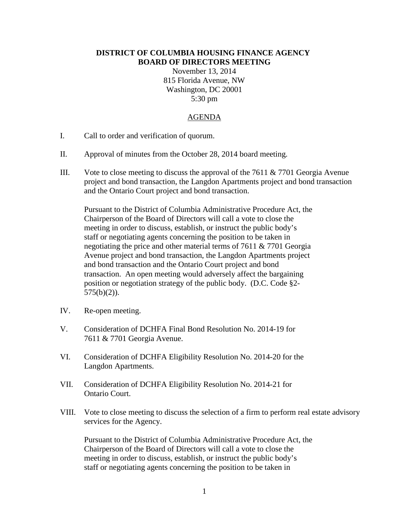## **DISTRICT OF COLUMBIA HOUSING FINANCE AGENCY BOARD OF DIRECTORS MEETING**

November 13, 2014 815 Florida Avenue, NW Washington, DC 20001 5:30 pm

## AGENDA

- I. Call to order and verification of quorum.
- II. Approval of minutes from the October 28, 2014 board meeting.
- III. Vote to close meeting to discuss the approval of the 7611 & 7701 Georgia Avenue project and bond transaction, the Langdon Apartments project and bond transaction and the Ontario Court project and bond transaction.

Pursuant to the District of Columbia Administrative Procedure Act, the Chairperson of the Board of Directors will call a vote to close the meeting in order to discuss, establish, or instruct the public body's staff or negotiating agents concerning the position to be taken in negotiating the price and other material terms of 7611 & 7701 Georgia Avenue project and bond transaction, the Langdon Apartments project and bond transaction and the Ontario Court project and bond transaction. An open meeting would adversely affect the bargaining position or negotiation strategy of the public body. (D.C. Code §2- 575(b)(2)).

- IV. Re-open meeting.
- V. Consideration of DCHFA Final Bond Resolution No. 2014-19 for 7611 & 7701 Georgia Avenue.
- VI. Consideration of DCHFA Eligibility Resolution No. 2014-20 for the Langdon Apartments.
- VII. Consideration of DCHFA Eligibility Resolution No. 2014-21 for Ontario Court.
- VIII. Vote to close meeting to discuss the selection of a firm to perform real estate advisory services for the Agency.

Pursuant to the District of Columbia Administrative Procedure Act, the Chairperson of the Board of Directors will call a vote to close the meeting in order to discuss, establish, or instruct the public body's staff or negotiating agents concerning the position to be taken in